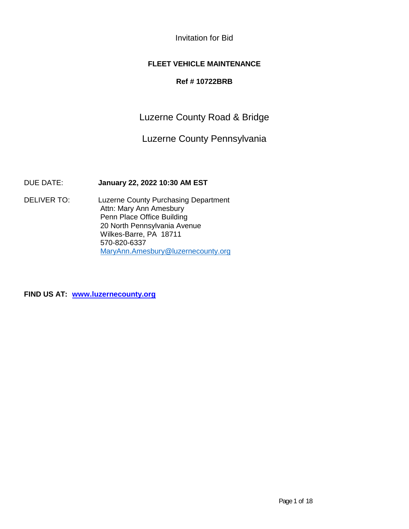Invitation for Bid

## **FLEET VEHICLE MAINTENANCE**

### **Ref # 10722BRB**

Luzerne County Road & Bridge

Luzerne County Pennsylvania

DUE DATE: **January 22, 2022 10:30 AM EST**

DELIVER TO: Luzerne County Purchasing Department Attn: Mary Ann Amesbury Penn Place Office Building 20 North Pennsylvania Avenue Wilkes-Barre, PA 18711 570-820-6337 [MaryAnn.Amesbury@luzernecounty.org](mailto:MaryAnn.Amesbury@luzernecounty.org)

**FIND US AT: [www.luzernecounty.org](http://www.luzernecounty.org/)**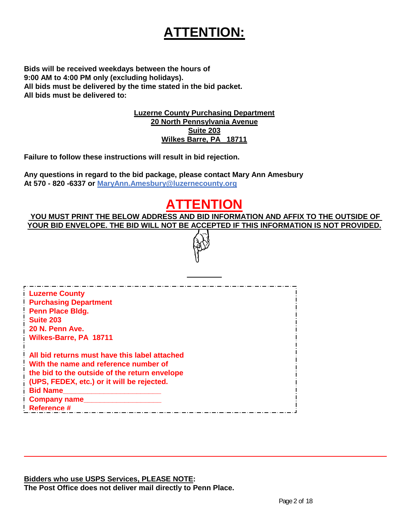# **ATTENTION:**

**Bids will be received weekdays between the hours of 9:00 AM to 4:00 PM only (excluding holidays). All bids must be delivered by the time stated in the bid packet. All bids must be delivered to:**

> **Luzerne County Purchasing Department 20 North Pennsylvania Avenue Suite 203 Wilkes Barre, PA 18711**

**Failure to follow these instructions will result in bid rejection.**

**Any questions in regard to the bid package, please contact Mary Ann Amesbury At 570 - 820 -6337 or [MaryAnn.Amesbury@luzernec](mailto:MaryAnn.Amesbury@luzerne)ounty.org**

# **ATTENTION**

**YOU MUST PRINT THE BELOW ADDRESS AND BID INFORMATION AND AFFIX TO THE OUTSIDE OF YOUR BID ENVELOPE. THE BID WILL NOT BE ACCEPTED IF THIS INFORMATION IS NOT PROVIDED.**

| <b>Luzerne County</b>                         |  |
|-----------------------------------------------|--|
| <b>Purchasing Department</b>                  |  |
| <b>Penn Place Bldg.</b>                       |  |
| Suite 203                                     |  |
| 20 N. Penn Ave.                               |  |
| Wilkes-Barre, PA 18711                        |  |
| All bid returns must have this label attached |  |
| With the name and reference number of         |  |
| the bid to the outside of the return envelope |  |
| (UPS, FEDEX, etc.) or it will be rejected.    |  |
| <b>Bid Name</b>                               |  |
| <b>Company name</b>                           |  |
| Reference #                                   |  |
|                                               |  |

**Bidders who use USPS Services, PLEASE NOTE: The Post Office does not deliver mail directly to Penn Place.**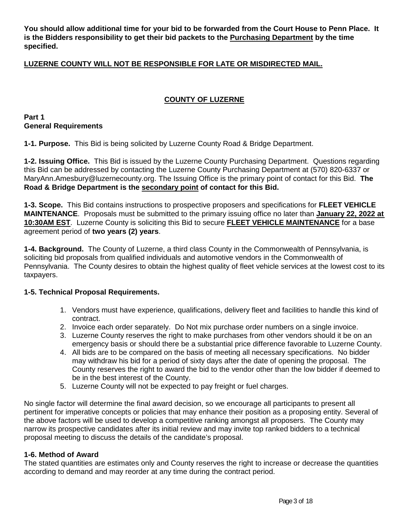**You should allow additional time for your bid to be forwarded from the Court House to Penn Place. It is the Bidders responsibility to get their bid packets to the Purchasing Department by the time specified.** 

## **LUZERNE COUNTY WILL NOT BE RESPONSIBLE FOR LATE OR MISDIRECTED MAIL.**

## **COUNTY OF LUZERNE**

#### **Part 1 General Requirements**

**1-1. Purpose.** This Bid is being solicited by Luzerne County Road & Bridge Department.

**1-2. Issuing Office.** This Bid is issued by the Luzerne County Purchasing Department. Questions regarding this Bid can be addressed by contacting the Luzerne County Purchasing Department at (570) 820-6337 or MaryAnn.Amesbury@luzernecounty.org. The Issuing Office is the primary point of contact for this Bid. **The Road & Bridge Department is the secondary point of contact for this Bid.**

**1-3. Scope.** This Bid contains instructions to prospective proposers and specifications for **FLEET VEHICLE MAINTENANCE**. Proposals must be submitted to the primary issuing office no later than **January 22, 2022 at 10:30AM EST**. Luzerne County is soliciting this Bid to secure **FLEET VEHICLE MAINTENANCE** for a base agreement period of **two years (2) years**.

**1-4. Background.** The County of Luzerne, a third class County in the Commonwealth of Pennsylvania, is soliciting bid proposals from qualified individuals and automotive vendors in the Commonwealth of Pennsylvania. The County desires to obtain the highest quality of fleet vehicle services at the lowest cost to its taxpayers.

#### **1-5. Technical Proposal Requirements.**

- 1. Vendors must have experience, qualifications, delivery fleet and facilities to handle this kind of contract.
- 2. Invoice each order separately. Do Not mix purchase order numbers on a single invoice.
- 3. Luzerne County reserves the right to make purchases from other vendors should it be on an emergency basis or should there be a substantial price difference favorable to Luzerne County.
- 4. All bids are to be compared on the basis of meeting all necessary specifications. No bidder may withdraw his bid for a period of sixty days after the date of opening the proposal. The County reserves the right to award the bid to the vendor other than the low bidder if deemed to be in the best interest of the County.
- 5. Luzerne County will not be expected to pay freight or fuel charges.

No single factor will determine the final award decision, so we encourage all participants to present all pertinent for imperative concepts or policies that may enhance their position as a proposing entity. Several of the above factors will be used to develop a competitive ranking amongst all proposers. The County may narrow its prospective candidates after its initial review and may invite top ranked bidders to a technical proposal meeting to discuss the details of the candidate's proposal.

#### **1-6. Method of Award**

The stated quantities are estimates only and County reserves the right to increase or decrease the quantities according to demand and may reorder at any time during the contract period.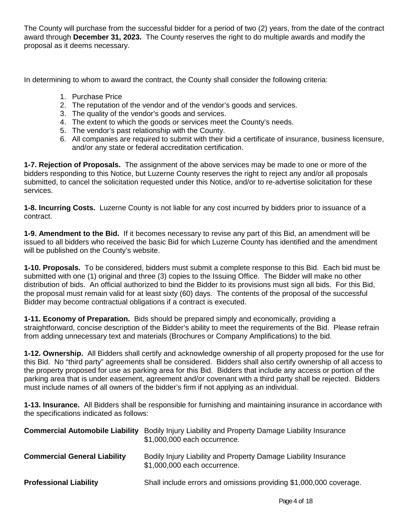The County will purchase from the successful bidder for a period of two (2) years, from the date of the contract award through **December 31, 2023.** The County reserves the right to do multiple awards and modify the proposal as it deems necessary.

In determining to whom to award the contract, the County shall consider the following criteria:

- 1. Purchase Price
- 2. The reputation of the vendor and of the vendor's goods and services.
- 3. The quality of the vendor's goods and services.
- 4. The extent to which the goods or services meet the County's needs.
- 5. The vendor's past relationship with the County.
- 6. All companies are required to submit with their bid a certificate of insurance, business licensure, and/or any state or federal accreditation certification.

**1-7. Rejection of Proposals.** The assignment of the above services may be made to one or more of the bidders responding to this Notice, but Luzerne County reserves the right to reject any and/or all proposals submitted, to cancel the solicitation requested under this Notice, and/or to re-advertise solicitation for these services.

**1-8. Incurring Costs.** Luzerne County is not liable for any cost incurred by bidders prior to issuance of a contract.

**1-9. Amendment to the Bid.** If it becomes necessary to revise any part of this Bid, an amendment will be issued to all bidders who received the basic Bid for which Luzerne County has identified and the amendment will be published on the County's website.

**1-10. Proposals.** To be considered, bidders must submit a complete response to this Bid. Each bid must be submitted with one (1) original and three (3) copies to the Issuing Office. The Bidder will make no other distribution of bids. An official authorized to bind the Bidder to its provisions must sign all bids. For this Bid, the proposal must remain valid for at least sixty (60) days. The contents of the proposal of the successful Bidder may become contractual obligations if a contract is executed.

**1-11. Economy of Preparation.** Bids should be prepared simply and economically, providing a straightforward, concise description of the Bidder's ability to meet the requirements of the Bid. Please refrain from adding unnecessary text and materials (Brochures or Company Amplifications) to the bid.

**1-12. Ownership.** All Bidders shall certify and acknowledge ownership of all property proposed for the use for this Bid. No "third party" agreements shall be considered. Bidders shall also certify ownership of all access to the property proposed for use as parking area for this Bid. Bidders that include any access or portion of the parking area that is under easement, agreement and/or covenant with a third party shall be rejected. Bidders must include names of all owners of the bidder's firm if not applying as an individual.

**1-13. Insurance.** All Bidders shall be responsible for furnishing and maintaining insurance in accordance with the specifications indicated as follows:

| <b>Commercial Automobile Liability</b> | Bodily Injury Liability and Property Damage Liability Insurance<br>\$1,000,000 each occurrence. |
|----------------------------------------|-------------------------------------------------------------------------------------------------|
| <b>Commercial General Liability</b>    | Bodily Injury Liability and Property Damage Liability Insurance<br>\$1,000,000 each occurrence. |
| <b>Professional Liability</b>          | Shall include errors and omissions providing \$1,000,000 coverage.                              |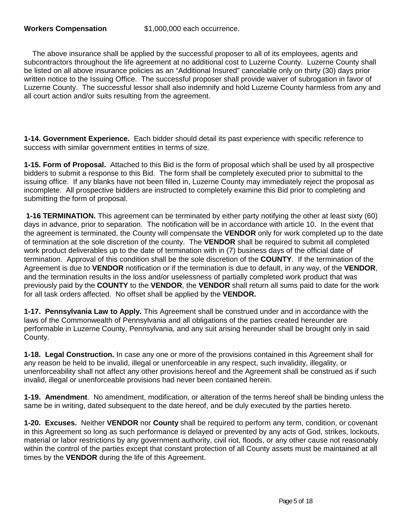The above insurance shall be applied by the successful proposer to all of its employees, agents and subcontractors throughout the life agreement at no additional cost to Luzerne County. Luzerne County shall be listed on all above insurance policies as an "Additional Insured" cancelable only on thirty (30) days prior written notice to the Issuing Office. The successful proposer shall provide waiver of subrogation in favor of Luzerne County. The successful lessor shall also indemnify and hold Luzerne County harmless from any and all court action and/or suits resulting from the agreement.

**1-14. Government Experience.** Each bidder should detail its past experience with specific reference to success with similar government entities in terms of size.

**1-15. Form of Proposal.** Attached to this Bid is the form of proposal which shall be used by all prospective bidders to submit a response to this Bid. The form shall be completely executed prior to submittal to the issuing office. If any blanks have not been filled in, Luzerne County may immediately reject the proposal as incomplete. All prospective bidders are instructed to completely examine this Bid prior to completing and submitting the form of proposal.

**1-16 TERMINATION.** This agreement can be terminated by either party notifying the other at least sixty (60) days in advance, prior to separation. The notification will be in accordance with article 10. In the event that the agreement is terminated, the County will compensate the **VENDOR** only for work completed up to the date of termination at the sole discretion of the county. The **VENDOR** shall be required to submit all completed work product deliverables up to the date of termination with in (7) business days of the official date of termination. Approval of this condition shall be the sole discretion of the **COUNTY**. If the termination of the Agreement is due to **VENDOR** notification or if the termination is due to default, in any way, of the **VENDOR**, and the termination results in the loss and/or uselessness of partially completed work product that was previously paid by the **COUNTY** to the **VENDOR**, the **VENDOR** shall return all sums paid to date for the work for all task orders affected. No offset shall be applied by the **VENDOR.**

**1-17. Pennsylvania Law to Apply.** This Agreement shall be construed under and in accordance with the laws of the Commonwealth of Pennsylvania and all obligations of the parties created hereunder are performable in Luzerne County, Pennsylvania, and any suit arising hereunder shall be brought only in said County.

**1-18. Legal Construction.** In case any one or more of the provisions contained in this Agreement shall for any reason be held to be invalid, illegal or unenforceable in any respect, such invalidity, illegality, or unenforceability shall not affect any other provisions hereof and the Agreement shall be construed as if such invalid, illegal or unenforceable provisions had never been contained herein.

**1-19. Amendment**. No amendment, modification, or alteration of the terms hereof shall be binding unless the same be in writing, dated subsequent to the date hereof, and be duly executed by the parties hereto.

**1-20. Excuses.** Neither **VENDOR** nor **County** shall be required to perform any term, condition, or covenant in this Agreement so long as such performance is delayed or prevented by any acts of God, strikes, lockouts, material or labor restrictions by any government authority, civil riot, floods, or any other cause not reasonably within the control of the parties except that constant protection of all County assets must be maintained at all times by the **VENDOR** during the life of this Agreement.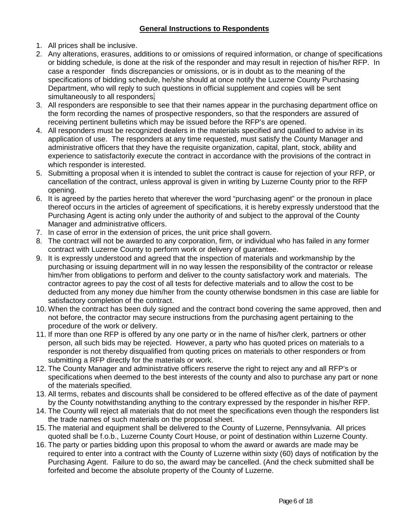## **General Instructions to Respondents**

- 1. All prices shall be inclusive.
- 2. Any alterations, erasures, additions to or omissions of required information, or change of specifications or bidding schedule, is done at the risk of the responder and may result in rejection of his/her RFP. In case a responder finds discrepancies or omissions, or is in doubt as to the meaning of the specifications of bidding schedule, he/she should at once notify the Luzerne County Purchasing Department, who will reply to such questions in official supplement and copies will be sent simultaneously to all responders.
- 3. All responders are responsible to see that their names appear in the purchasing department office on the form recording the names of prospective responders, so that the responders are assured of receiving pertinent bulletins which may be issued before the RFP's are opened.
- 4. All responders must be recognized dealers in the materials specified and qualified to advise in its application of use. The responders at any time requested, must satisfy the County Manager and administrative officers that they have the requisite organization, capital, plant, stock, ability and experience to satisfactorily execute the contract in accordance with the provisions of the contract in which responder is interested.
- 5. Submitting a proposal when it is intended to sublet the contract is cause for rejection of your RFP, or cancellation of the contract, unless approval is given in writing by Luzerne County prior to the RFP opening.
- 6. It is agreed by the parties hereto that wherever the word "purchasing agent" or the pronoun in place thereof occurs in the articles of agreement of specifications, it is hereby expressly understood that the Purchasing Agent is acting only under the authority of and subject to the approval of the County Manager and administrative officers.
- 7. In case of error in the extension of prices, the unit price shall govern.
- 8. The contract will not be awarded to any corporation, firm, or individual who has failed in any former contract with Luzerne County to perform work or delivery of guarantee.
- 9. It is expressly understood and agreed that the inspection of materials and workmanship by the purchasing or issuing department will in no way lessen the responsibility of the contractor or release him/her from obligations to perform and deliver to the county satisfactory work and materials. The contractor agrees to pay the cost of all tests for defective materials and to allow the cost to be deducted from any money due him/her from the county otherwise bondsmen in this case are liable for satisfactory completion of the contract.
- 10. When the contract has been duly signed and the contract bond covering the same approved, then and not before, the contractor may secure instructions from the purchasing agent pertaining to the procedure of the work or delivery.
- 11. If more than one RFP is offered by any one party or in the name of his/her clerk, partners or other person, all such bids may be rejected. However, a party who has quoted prices on materials to a responder is not thereby disqualified from quoting prices on materials to other responders or from submitting a RFP directly for the materials or work.
- 12. The County Manager and administrative officers reserve the right to reject any and all RFP's or specifications when deemed to the best interests of the county and also to purchase any part or none of the materials specified.
- 13. All terms, rebates and discounts shall be considered to be offered effective as of the date of payment by the County notwithstanding anything to the contrary expressed by the responder in his/her RFP.
- 14. The County will reject all materials that do not meet the specifications even though the responders list the trade names of such materials on the proposal sheet.
- 15. The material and equipment shall be delivered to the County of Luzerne, Pennsylvania. All prices quoted shall be f.o.b., Luzerne County Court House, or point of destination within Luzerne County.
- 16. The party or parties bidding upon this proposal to whom the award or awards are made may be required to enter into a contract with the County of Luzerne within sixty (60) days of notification by the Purchasing Agent. Failure to do so, the award may be cancelled. (And the check submitted shall be forfeited and become the absolute property of the County of Luzerne.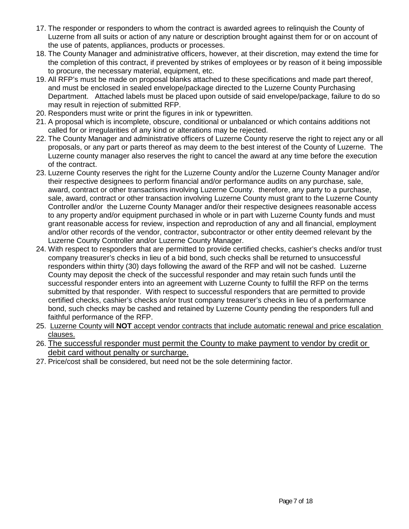- 17. The responder or responders to whom the contract is awarded agrees to relinquish the County of Luzerne from all suits or action of any nature or description brought against them for or on account of the use of patents, appliances, products or processes.
- 18. The County Manager and administrative officers, however, at their discretion, may extend the time for the completion of this contract, if prevented by strikes of employees or by reason of it being impossible to procure, the necessary material, equipment, etc.
- 19. All RFP's must be made on proposal blanks attached to these specifications and made part thereof, and must be enclosed in sealed envelope/package directed to the Luzerne County Purchasing Department. Attached labels must be placed upon outside of said envelope/package, failure to do so may result in rejection of submitted RFP.
- 20. Responders must write or print the figures in ink or typewritten.
- 21. A proposal which is incomplete, obscure, conditional or unbalanced or which contains additions not called for or irregularities of any kind or alterations may be rejected.
- 22. The County Manager and administrative officers of Luzerne County reserve the right to reject any or all proposals, or any part or parts thereof as may deem to the best interest of the County of Luzerne. The Luzerne county manager also reserves the right to cancel the award at any time before the execution of the contract.
- 23. Luzerne County reserves the right for the Luzerne County and/or the Luzerne County Manager and/or their respective designees to perform financial and/or performance audits on any purchase, sale, award, contract or other transactions involving Luzerne County. therefore, any party to a purchase, sale, award, contract or other transaction involving Luzerne County must grant to the Luzerne County Controller and/or the Luzerne County Manager and/or their respective designees reasonable access to any property and/or equipment purchased in whole or in part with Luzerne County funds and must grant reasonable access for review, inspection and reproduction of any and all financial, employment and/or other records of the vendor, contractor, subcontractor or other entity deemed relevant by the Luzerne County Controller and/or Luzerne County Manager.
- 24. With respect to responders that are permitted to provide certified checks, cashier's checks and/or trust company treasurer's checks in lieu of a bid bond, such checks shall be returned to unsuccessful responders within thirty (30) days following the award of the RFP and will not be cashed. Luzerne County may deposit the check of the successful responder and may retain such funds until the successful responder enters into an agreement with Luzerne County to fulfill the RFP on the terms submitted by that responder. With respect to successful responders that are permitted to provide certified checks, cashier's checks an/or trust company treasurer's checks in lieu of a performance bond, such checks may be cashed and retained by Luzerne County pending the responders full and faithful performance of the RFP.
- 25. Luzerne County will **NOT** accept vendor contracts that include automatic renewal and price escalation clauses.
- 26. The successful responder must permit the County to make payment to vendor by credit or debit card without penalty or surcharge.
- 27. Price/cost shall be considered, but need not be the sole determining factor.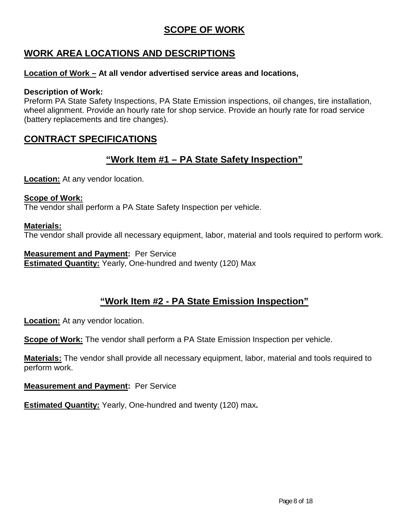## **SCOPE OF WORK**

## **WORK AREA LOCATIONS AND DESCRIPTIONS**

## **Location of Work – At all vendor advertised service areas and locations,**

## **Description of Work:**

Preform PA State Safety Inspections, PA State Emission inspections, oil changes, tire installation, wheel alignment. Provide an hourly rate for shop service. Provide an hourly rate for road service (battery replacements and tire changes).

## **CONTRACT SPECIFICATIONS**

## **"Work Item #1 – PA State Safety Inspection"**

**Location:** At any vendor location.

#### **Scope of Work:** The vendor shall perform a PA State Safety Inspection per vehicle.

## **Materials:**

The vendor shall provide all necessary equipment, labor, material and tools required to perform work.

**Measurement and Payment:** Per Service **Estimated Quantity:** Yearly, One-hundred and twenty (120) Max

## **"Work Item #2 - PA State Emission Inspection"**

**Location:** At any vendor location.

**Scope of Work:** The vendor shall perform a PA State Emission Inspection per vehicle.

**Materials:** The vendor shall provide all necessary equipment, labor, material and tools required to perform work.

**Measurement and Payment:** Per Service

**Estimated Quantity:** Yearly, One-hundred and twenty (120) max**.**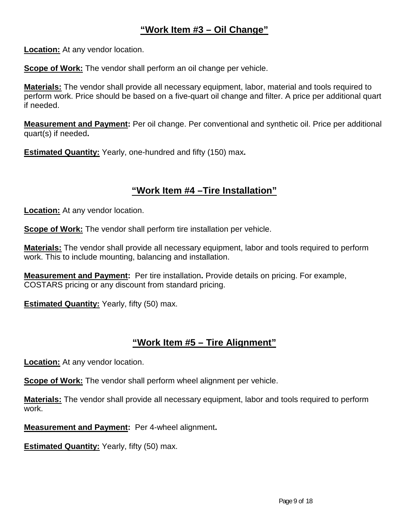## **"Work Item #3 – Oil Change"**

**Location:** At any vendor location.

**Scope of Work:** The vendor shall perform an oil change per vehicle.

**Materials:** The vendor shall provide all necessary equipment, labor, material and tools required to perform work. Price should be based on a five-quart oil change and filter. A price per additional quart if needed.

**Measurement and Payment:** Per oil change. Per conventional and synthetic oil. Price per additional quart(s) if needed**.** 

**Estimated Quantity:** Yearly, one-hundred and fifty (150) max**.**

## **"Work Item #4 –Tire Installation"**

**Location:** At any vendor location.

**Scope of Work:** The vendor shall perform tire installation per vehicle.

**Materials:** The vendor shall provide all necessary equipment, labor and tools required to perform work. This to include mounting, balancing and installation.

**Measurement and Payment:** Per tire installation**.** Provide details on pricing. For example, COSTARS pricing or any discount from standard pricing.

**Estimated Quantity:** Yearly, fifty (50) max.

## **"Work Item #5 – Tire Alignment"**

**Location:** At any vendor location.

**Scope of Work:** The vendor shall perform wheel alignment per vehicle.

**Materials:** The vendor shall provide all necessary equipment, labor and tools required to perform work.

**Measurement and Payment:** Per 4-wheel alignment**.** 

**Estimated Quantity:** Yearly, fifty (50) max.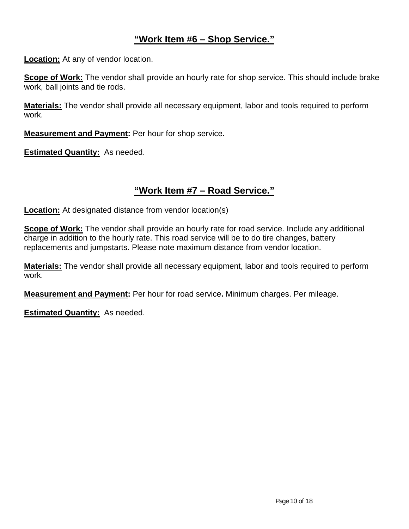## **"Work Item #6 – Shop Service."**

**Location:** At any of vendor location.

**Scope of Work:** The vendor shall provide an hourly rate for shop service. This should include brake work, ball joints and tie rods.

**Materials:** The vendor shall provide all necessary equipment, labor and tools required to perform work.

**Measurement and Payment:** Per hour for shop service**.** 

**Estimated Quantity:** As needed.

## **"Work Item #7 – Road Service."**

**Location:** At designated distance from vendor location(s)

**Scope of Work:** The vendor shall provide an hourly rate for road service. Include any additional charge in addition to the hourly rate. This road service will be to do tire changes, battery replacements and jumpstarts. Please note maximum distance from vendor location.

**Materials:** The vendor shall provide all necessary equipment, labor and tools required to perform work.

**Measurement and Payment:** Per hour for road service**.** Minimum charges. Per mileage.

**Estimated Quantity:** As needed.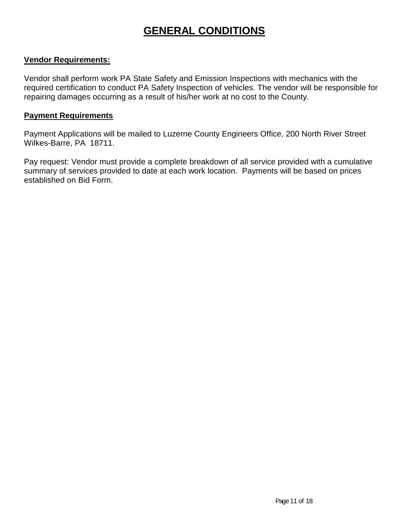## **GENERAL CONDITIONS**

## **Vendor Requirements:**

Vendor shall perform work PA State Safety and Emission Inspections with mechanics with the required certification to conduct PA Safety Inspection of vehicles. The vendor will be responsible for repairing damages occurring as a result of his/her work at no cost to the County.

### **Payment Requirements**

Payment Applications will be mailed to Luzerne County Engineers Office, 200 North River Street Wilkes-Barre, PA 18711.

Pay request: Vendor must provide a complete breakdown of all service provided with a cumulative summary of services provided to date at each work location. Payments will be based on prices established on Bid Form.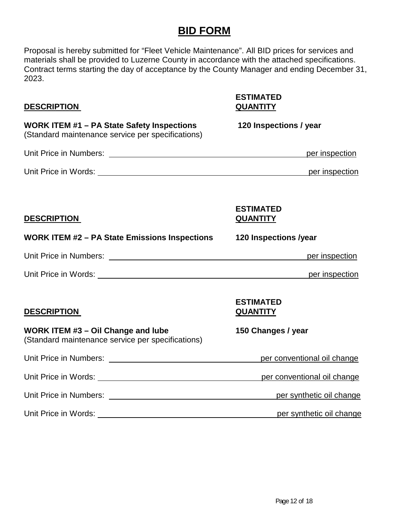## **BID FORM**

Proposal is hereby submitted for "Fleet Vehicle Maintenance". All BID prices for services and materials shall be provided to Luzerne County in accordance with the attached specifications. Contract terms starting the day of acceptance by the County Manager and ending December 31, 2023.

### **DESCRIPTION QUANTITY**

# **ESTIMATED**

**WORK ITEM #1 – PA State Safety Inspections 120 Inspections / year** (Standard maintenance service per specifications) Unit Price in Numbers: <u>per inspection</u> Unit Price in Words: per inspection and the set of the set of the set of the set of the set of the set of the set of the set of the set of the set of the set of the set of the set of the set of the set of the set of the se **ESTIMATED DESCRIPTION QUANTITY WORK ITEM #2 – PA State Emissions Inspections 120 Inspections /year** Unit Price in Numbers: per inspection and the set of the set of the set of the set of the set of the set of the set of the set of the set of the set of the set of the set of the set of the set of the set of the set of the Unit Price in Words: per inspection with the state of the state of the state of the state of the state of the state of the state of the state of the state of the state of the state of the state of the state of the state of **ESTIMATED DESCRIPTION QUANTITY WORK ITEM #3 – Oil Change and lube 150 Changes / year** (Standard maintenance service per specifications) Unit Price in Numbers: example the period of the performance of the perconventional oil change Unit Price in Words: example that the perconventional oil change Unit Price in Numbers: per synthetic oil change Unit Price in Words: per synthetic oil change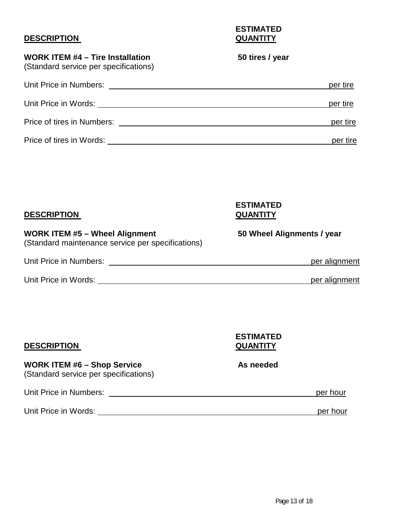## **DESCRIPTION**

**ESTIMATED**

## **WORK ITEM #4 – Tire Installation 50 tires / year**

(Standard service per specifications)

| Unit Price in Numbers:     | per tire |
|----------------------------|----------|
| Unit Price in Words:       | per tire |
| Price of tires in Numbers: | per tire |
| Price of tires in Words:   | per tire |

| <b>DESCRIPTION</b>                                                                         | <b>ESTIMATED</b><br><b>QUANTITY</b> |
|--------------------------------------------------------------------------------------------|-------------------------------------|
| <b>WORK ITEM #5 - Wheel Alignment</b><br>(Standard maintenance service per specifications) | 50 Wheel Alignments / year          |
| Unit Price in Numbers:                                                                     | per alignment                       |
| Unit Price in Words:                                                                       | per alignment                       |

| <b>DESCRIPTION</b>                                                          | <b>ESTIMATED</b><br><b>QUANTITY</b> |          |
|-----------------------------------------------------------------------------|-------------------------------------|----------|
| <b>WORK ITEM #6 - Shop Service</b><br>(Standard service per specifications) | As needed                           |          |
| Unit Price in Numbers:                                                      |                                     | per hour |
| Unit Price in Words:                                                        |                                     | per hour |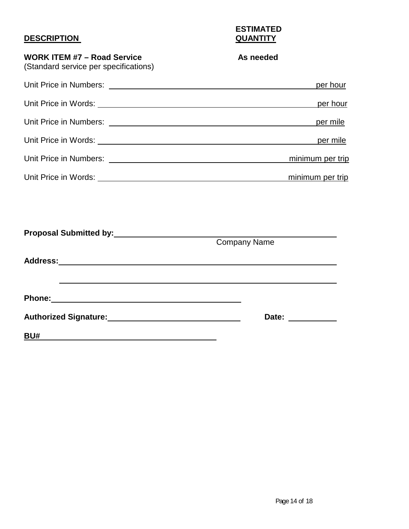## **DESCRIPTION**

**ESTIMATED**

| <b>WORK ITEM #7 - Road Service</b><br>(Standard service per specifications) | As needed           |
|-----------------------------------------------------------------------------|---------------------|
|                                                                             | per hour            |
|                                                                             | per hour            |
|                                                                             | per mile            |
|                                                                             |                     |
|                                                                             | minimum per trip    |
|                                                                             | minimum per trip    |
|                                                                             |                     |
| Proposal Submitted by: 1997 1998 1999                                       |                     |
|                                                                             | <b>Company Name</b> |
|                                                                             |                     |
|                                                                             |                     |
| Authorized Signature:<br><u>Latin Communication</u>                         |                     |
| <b>BU#</b>                                                                  |                     |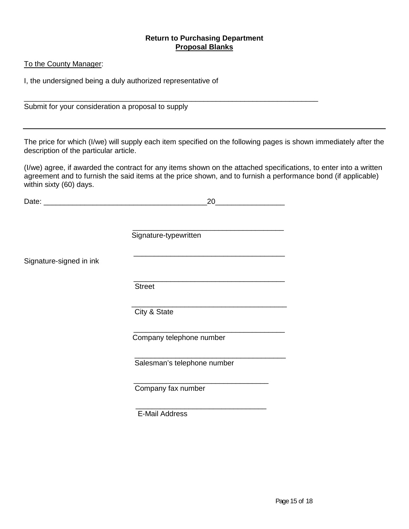#### **Return to Purchasing Department Proposal Blanks**

#### To the County Manager:

I, the undersigned being a duly authorized representative of

\_\_\_\_\_\_\_\_\_\_\_\_\_\_\_\_\_\_\_\_\_\_\_\_\_\_\_\_\_\_\_\_\_\_\_\_\_\_\_\_\_\_\_\_\_\_\_\_\_\_\_\_\_\_\_\_\_\_\_\_\_\_\_\_\_\_\_\_\_\_\_\_ Submit for your consideration a proposal to supply

The price for which (I/we) will supply each item specified on the following pages is shown immediately after the description of the particular article.

(I/we) agree, if awarded the contract for any items shown on the attached specifications, to enter into a written agreement and to furnish the said items at the price shown, and to furnish a performance bond (if applicable) within sixty (60) days.

|                         | Signature-typewritten       |  |
|-------------------------|-----------------------------|--|
| Signature-signed in ink |                             |  |
|                         |                             |  |
|                         | <b>Street</b>               |  |
|                         | City & State                |  |
|                         | Company telephone number    |  |
|                         | Salesman's telephone number |  |
|                         | Company fax number          |  |
|                         | <b>E-Mail Address</b>       |  |

Date: 20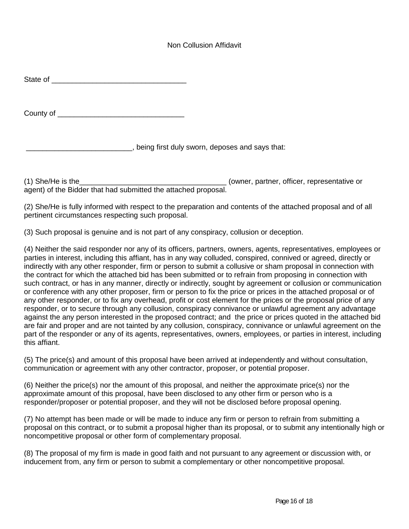#### Non Collusion Affidavit

| State of |  |  |  |
|----------|--|--|--|
|          |  |  |  |
|          |  |  |  |
|          |  |  |  |

County of **Example 20** 

\_\_\_\_\_\_\_\_\_\_\_\_\_\_\_\_\_\_\_\_\_\_\_\_\_\_, being first duly sworn, deposes and says that:

(1) She/He is the\_\_\_\_\_\_\_\_\_\_\_\_\_\_\_\_\_\_\_\_\_\_\_\_\_\_\_\_\_\_\_\_\_\_\_\_ (owner, partner, officer, representative or agent) of the Bidder that had submitted the attached proposal.

(2) She/He is fully informed with respect to the preparation and contents of the attached proposal and of all pertinent circumstances respecting such proposal.

(3) Such proposal is genuine and is not part of any conspiracy, collusion or deception.

(4) Neither the said responder nor any of its officers, partners, owners, agents, representatives, employees or parties in interest, including this affiant, has in any way colluded, conspired, connived or agreed, directly or indirectly with any other responder, firm or person to submit a collusive or sham proposal in connection with the contract for which the attached bid has been submitted or to refrain from proposing in connection with such contract, or has in any manner, directly or indirectly, sought by agreement or collusion or communication or conference with any other proposer, firm or person to fix the price or prices in the attached proposal or of any other responder, or to fix any overhead, profit or cost element for the prices or the proposal price of any responder, or to secure through any collusion, conspiracy connivance or unlawful agreement any advantage against the any person interested in the proposed contract; and the price or prices quoted in the attached bid are fair and proper and are not tainted by any collusion, conspiracy, connivance or unlawful agreement on the part of the responder or any of its agents, representatives, owners, employees, or parties in interest, including this affiant.

(5) The price(s) and amount of this proposal have been arrived at independently and without consultation, communication or agreement with any other contractor, proposer, or potential proposer.

(6) Neither the price(s) nor the amount of this proposal, and neither the approximate price(s) nor the approximate amount of this proposal, have been disclosed to any other firm or person who is a responder/proposer or potential proposer, and they will not be disclosed before proposal opening.

(7) No attempt has been made or will be made to induce any firm or person to refrain from submitting a proposal on this contract, or to submit a proposal higher than its proposal, or to submit any intentionally high or noncompetitive proposal or other form of complementary proposal.

(8) The proposal of my firm is made in good faith and not pursuant to any agreement or discussion with, or inducement from, any firm or person to submit a complementary or other noncompetitive proposal.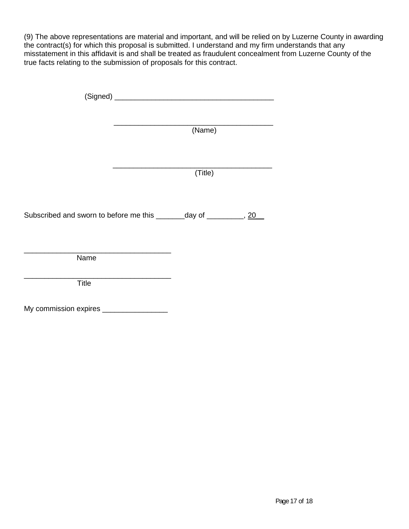(9) The above representations are material and important, and will be relied on by Luzerne County in awarding the contract(s) for which this proposal is submitted. I understand and my firm understands that any misstatement in this affidavit is and shall be treated as fraudulent concealment from Luzerne County of the true facts relating to the submission of proposals for this contract.

|                                           | (Name)                                                                |
|-------------------------------------------|-----------------------------------------------------------------------|
|                                           | (Title)                                                               |
|                                           | Subscribed and sworn to before me this ________day of _________, 20__ |
| Name                                      |                                                                       |
| Title                                     |                                                                       |
| My commission expires ___________________ |                                                                       |